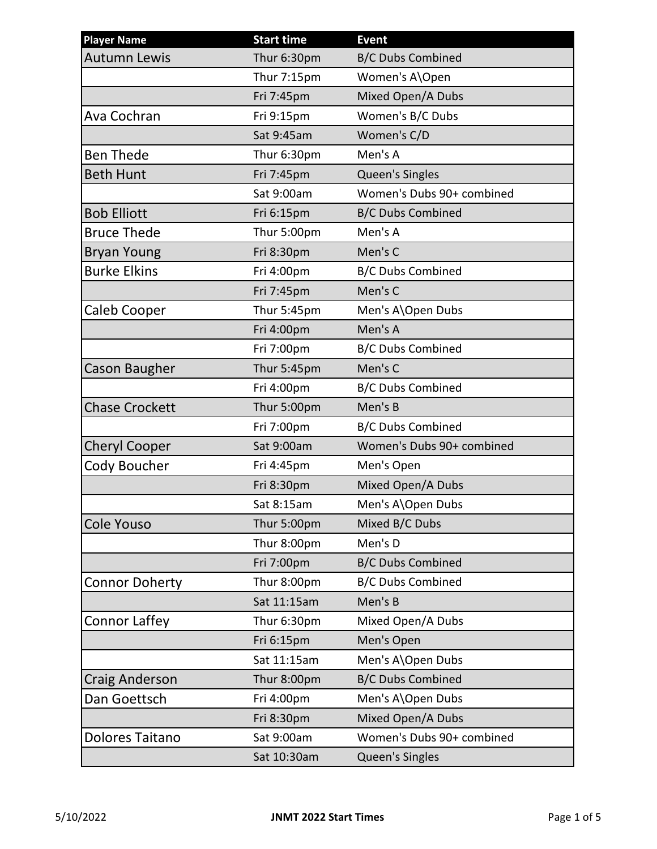| <b>Player Name</b>     | <b>Start time</b> | <b>Event</b>              |
|------------------------|-------------------|---------------------------|
| <b>Autumn Lewis</b>    | Thur 6:30pm       | <b>B/C Dubs Combined</b>  |
|                        | Thur 7:15pm       | Women's A\Open            |
|                        | Fri 7:45pm        | Mixed Open/A Dubs         |
| Ava Cochran            | Fri 9:15pm        | Women's B/C Dubs          |
|                        | Sat 9:45am        | Women's C/D               |
| <b>Ben Thede</b>       | Thur 6:30pm       | Men's A                   |
| <b>Beth Hunt</b>       | Fri 7:45pm        | Queen's Singles           |
|                        | Sat 9:00am        | Women's Dubs 90+ combined |
| <b>Bob Elliott</b>     | Fri 6:15pm        | <b>B/C Dubs Combined</b>  |
| <b>Bruce Thede</b>     | Thur 5:00pm       | Men's A                   |
| <b>Bryan Young</b>     | Fri 8:30pm        | Men's C                   |
| <b>Burke Elkins</b>    | Fri 4:00pm        | <b>B/C Dubs Combined</b>  |
|                        | Fri 7:45pm        | Men's C                   |
| <b>Caleb Cooper</b>    | Thur 5:45pm       | Men's A\Open Dubs         |
|                        | Fri 4:00pm        | Men's A                   |
|                        | Fri 7:00pm        | <b>B/C Dubs Combined</b>  |
| <b>Cason Baugher</b>   | Thur 5:45pm       | Men's C                   |
|                        | Fri 4:00pm        | <b>B/C Dubs Combined</b>  |
| <b>Chase Crockett</b>  | Thur 5:00pm       | Men's B                   |
|                        | Fri 7:00pm        | <b>B/C Dubs Combined</b>  |
| <b>Cheryl Cooper</b>   | Sat 9:00am        | Women's Dubs 90+ combined |
| Cody Boucher           | Fri 4:45pm        | Men's Open                |
|                        | Fri 8:30pm        | Mixed Open/A Dubs         |
|                        | Sat 8:15am        | Men's A\Open Dubs         |
| <b>Cole Youso</b>      | Thur 5:00pm       | Mixed B/C Dubs            |
|                        | Thur 8:00pm       | Men's D                   |
|                        | Fri 7:00pm        | <b>B/C Dubs Combined</b>  |
| <b>Connor Doherty</b>  | Thur 8:00pm       | <b>B/C Dubs Combined</b>  |
|                        | Sat 11:15am       | Men's B                   |
| Connor Laffey          | Thur 6:30pm       | Mixed Open/A Dubs         |
|                        | Fri 6:15pm        | Men's Open                |
|                        | Sat 11:15am       | Men's A\Open Dubs         |
| <b>Craig Anderson</b>  | Thur 8:00pm       | <b>B/C Dubs Combined</b>  |
| Dan Goettsch           | Fri 4:00pm        | Men's A\Open Dubs         |
|                        | Fri 8:30pm        | Mixed Open/A Dubs         |
| <b>Dolores Taitano</b> | Sat 9:00am        | Women's Dubs 90+ combined |
|                        | Sat 10:30am       | Queen's Singles           |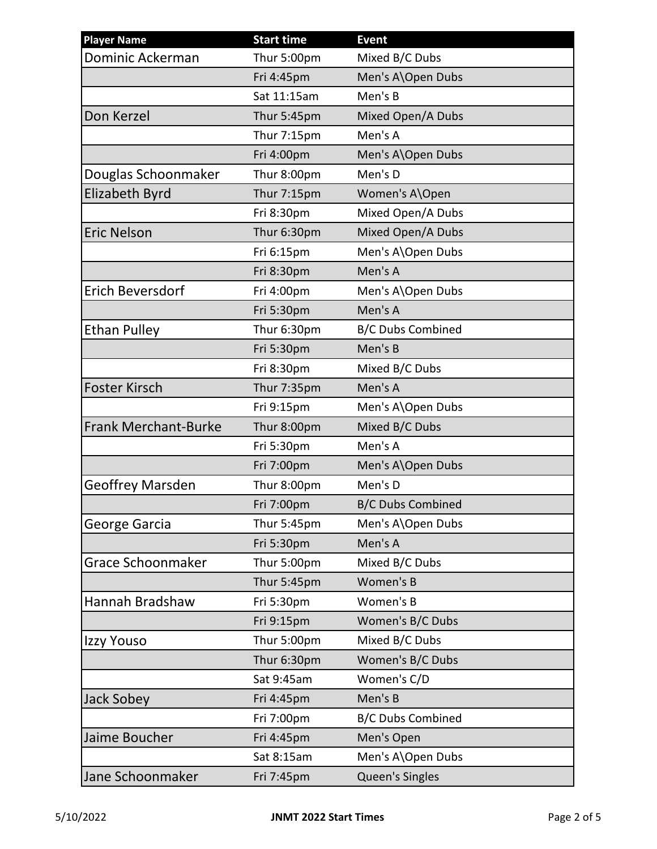| <b>Player Name</b>          | <b>Start time</b>  | <b>Event</b>             |
|-----------------------------|--------------------|--------------------------|
| Dominic Ackerman            | Thur 5:00pm        | Mixed B/C Dubs           |
|                             | Fri 4:45pm         | Men's A\Open Dubs        |
|                             | Sat 11:15am        | Men's B                  |
| Don Kerzel                  | Thur 5:45pm        | Mixed Open/A Dubs        |
|                             | Thur 7:15pm        | Men's A                  |
|                             | Fri 4:00pm         | Men's A\Open Dubs        |
| Douglas Schoonmaker         | Thur 8:00pm        | Men's D                  |
| <b>Elizabeth Byrd</b>       | <b>Thur 7:15pm</b> | Women's A\Open           |
|                             | Fri 8:30pm         | Mixed Open/A Dubs        |
| <b>Eric Nelson</b>          | Thur 6:30pm        | Mixed Open/A Dubs        |
|                             | Fri 6:15pm         | Men's A\Open Dubs        |
|                             | Fri 8:30pm         | Men's A                  |
| <b>Erich Beversdorf</b>     | Fri 4:00pm         | Men's A\Open Dubs        |
|                             | Fri 5:30pm         | Men's A                  |
| <b>Ethan Pulley</b>         | Thur 6:30pm        | <b>B/C Dubs Combined</b> |
|                             | Fri 5:30pm         | Men's B                  |
|                             | Fri 8:30pm         | Mixed B/C Dubs           |
| <b>Foster Kirsch</b>        | Thur 7:35pm        | Men's A                  |
|                             | Fri 9:15pm         | Men's A\Open Dubs        |
| <b>Frank Merchant-Burke</b> | Thur 8:00pm        | Mixed B/C Dubs           |
|                             | Fri 5:30pm         | Men's A                  |
|                             | Fri 7:00pm         | Men's A\Open Dubs        |
| <b>Geoffrey Marsden</b>     | Thur 8:00pm        | Men's D                  |
|                             | Fri 7:00pm         | <b>B/C Dubs Combined</b> |
| George Garcia               | Thur 5:45pm        | Men's A\Open Dubs        |
|                             | Fri 5:30pm         | Men's A                  |
| Grace Schoonmaker           | Thur 5:00pm        | Mixed B/C Dubs           |
|                             | Thur 5:45pm        | Women's B                |
| Hannah Bradshaw             | Fri 5:30pm         | Women's B                |
|                             | Fri 9:15pm         | Women's B/C Dubs         |
| Izzy Youso                  | Thur 5:00pm        | Mixed B/C Dubs           |
|                             | Thur 6:30pm        | Women's B/C Dubs         |
|                             | Sat 9:45am         | Women's C/D              |
| <b>Jack Sobey</b>           | Fri 4:45pm         | Men's B                  |
|                             | Fri 7:00pm         | <b>B/C Dubs Combined</b> |
| Jaime Boucher               | Fri 4:45pm         | Men's Open               |
|                             | Sat 8:15am         | Men's A\Open Dubs        |
| Jane Schoonmaker            | Fri 7:45pm         | Queen's Singles          |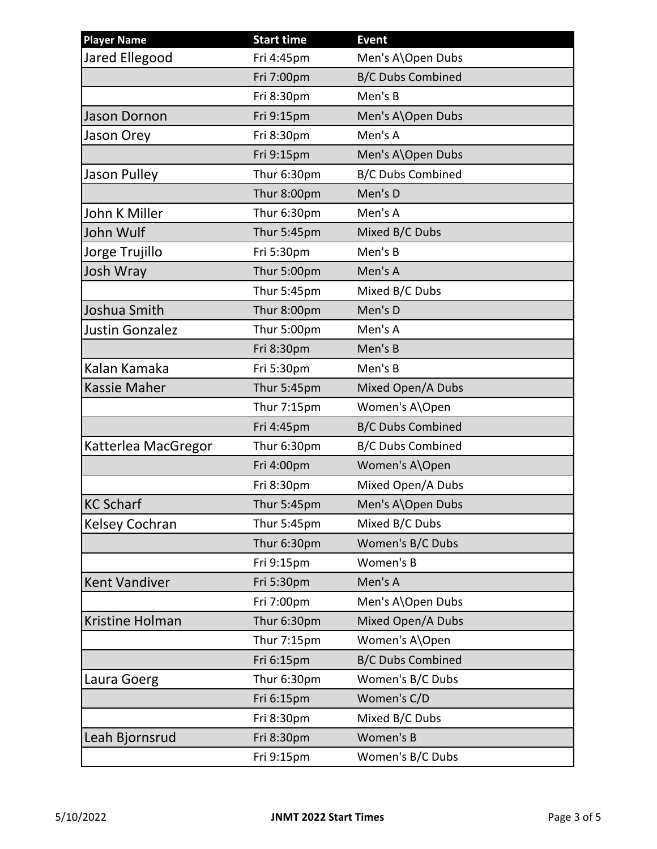| <b>Player Name</b>     | <b>Start time</b> | <b>Event</b>             |
|------------------------|-------------------|--------------------------|
| Jared Ellegood         | Fri 4:45pm        | Men's A\Open Dubs        |
|                        | Fri 7:00pm        | <b>B/C Dubs Combined</b> |
|                        | Fri 8:30pm        | Men's B                  |
| <b>Jason Dornon</b>    | Fri 9:15pm        | Men's A\Open Dubs        |
| Jason Orey             | Fri 8:30pm        | Men's A                  |
|                        | Fri 9:15pm        | Men's A\Open Dubs        |
| Jason Pulley           | Thur 6:30pm       | <b>B/C Dubs Combined</b> |
|                        | Thur 8:00pm       | Men's D                  |
| John K Miller          | Thur 6:30pm       | Men's A                  |
| John Wulf              | Thur 5:45pm       | Mixed B/C Dubs           |
| Jorge Trujillo         | Fri 5:30pm        | Men's B                  |
| Josh Wray              | Thur 5:00pm       | Men's A                  |
|                        | Thur 5:45pm       | Mixed B/C Dubs           |
| Joshua Smith           | Thur 8:00pm       | Men's D                  |
| <b>Justin Gonzalez</b> | Thur 5:00pm       | Men's A                  |
|                        | Fri 8:30pm        | Men's B                  |
| Kalan Kamaka           | Fri 5:30pm        | Men's B                  |
| <b>Kassie Maher</b>    | Thur 5:45pm       | Mixed Open/A Dubs        |
|                        | Thur 7:15pm       | Women's A\Open           |
|                        | Fri 4:45pm        | <b>B/C Dubs Combined</b> |
| Katterlea MacGregor    | Thur 6:30pm       | <b>B/C Dubs Combined</b> |
|                        | Fri 4:00pm        | Women's A\Open           |
|                        | Fri 8:30pm        | Mixed Open/A Dubs        |
| <b>KC Scharf</b>       | Thur 5:45pm       | Men's A\Open Dubs        |
| Kelsey Cochran         | Thur 5:45pm       | Mixed B/C Dubs           |
|                        | Thur 6:30pm       | Women's B/C Dubs         |
|                        | Fri 9:15pm        | Women's B                |
| <b>Kent Vandiver</b>   | Fri 5:30pm        | Men's A                  |
|                        | Fri 7:00pm        | Men's A\Open Dubs        |
| Kristine Holman        | Thur 6:30pm       | Mixed Open/A Dubs        |
|                        | Thur 7:15pm       | Women's A\Open           |
|                        | Fri 6:15pm        | <b>B/C Dubs Combined</b> |
| Laura Goerg            | Thur 6:30pm       | Women's B/C Dubs         |
|                        | Fri 6:15pm        | Women's C/D              |
|                        | Fri 8:30pm        | Mixed B/C Dubs           |
| Leah Bjornsrud         | Fri 8:30pm        | Women's B                |
|                        | Fri 9:15pm        | Women's B/C Dubs         |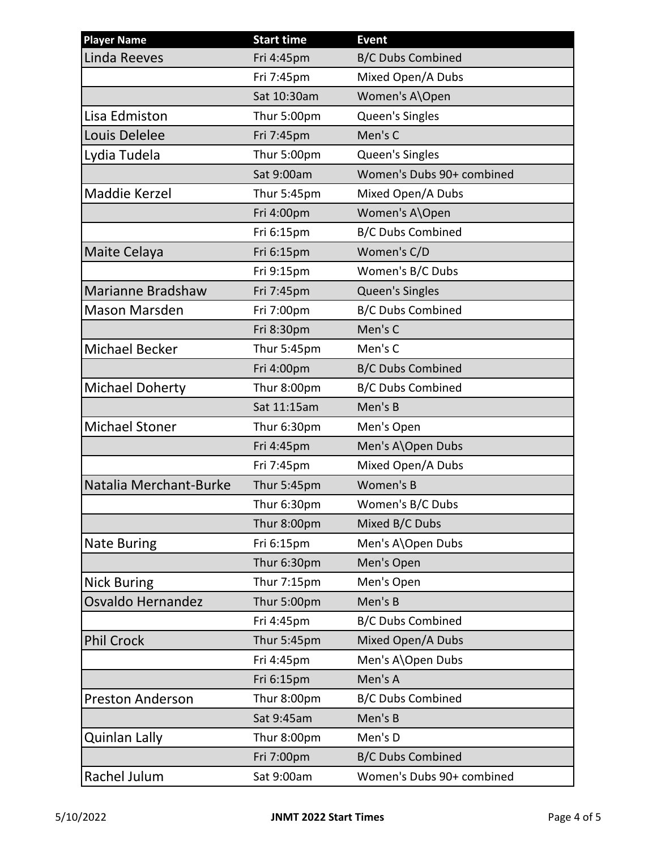| <b>Player Name</b>       | <b>Start time</b> | <b>Event</b>              |
|--------------------------|-------------------|---------------------------|
| <b>Linda Reeves</b>      | Fri 4:45pm        | <b>B/C Dubs Combined</b>  |
|                          | Fri 7:45pm        | Mixed Open/A Dubs         |
|                          | Sat 10:30am       | Women's A\Open            |
| Lisa Edmiston            | Thur 5:00pm       | Queen's Singles           |
| Louis Delelee            | Fri 7:45pm        | Men's C                   |
| Lydia Tudela             | Thur 5:00pm       | Queen's Singles           |
|                          | Sat 9:00am        | Women's Dubs 90+ combined |
| Maddie Kerzel            | Thur 5:45pm       | Mixed Open/A Dubs         |
|                          | Fri 4:00pm        | Women's A\Open            |
|                          | Fri 6:15pm        | <b>B/C Dubs Combined</b>  |
| Maite Celaya             | Fri 6:15pm        | Women's C/D               |
|                          | Fri 9:15pm        | Women's B/C Dubs          |
| <b>Marianne Bradshaw</b> | Fri 7:45pm        | Queen's Singles           |
| <b>Mason Marsden</b>     | Fri 7:00pm        | <b>B/C Dubs Combined</b>  |
|                          | Fri 8:30pm        | Men's C                   |
| <b>Michael Becker</b>    | Thur 5:45pm       | Men's C                   |
|                          | Fri 4:00pm        | <b>B/C Dubs Combined</b>  |
| <b>Michael Doherty</b>   | Thur 8:00pm       | <b>B/C Dubs Combined</b>  |
|                          | Sat 11:15am       | Men's B                   |
| <b>Michael Stoner</b>    | Thur 6:30pm       | Men's Open                |
|                          | Fri 4:45pm        | Men's A\Open Dubs         |
|                          | Fri 7:45pm        | Mixed Open/A Dubs         |
| Natalia Merchant-Burke   | Thur 5:45pm       | Women's B                 |
|                          | Thur 6:30pm       | Women's B/C Dubs          |
|                          | Thur 8:00pm       | Mixed B/C Dubs            |
| <b>Nate Buring</b>       | Fri 6:15pm        | Men's A\Open Dubs         |
|                          | Thur 6:30pm       | Men's Open                |
| <b>Nick Buring</b>       | Thur 7:15pm       | Men's Open                |
| Osvaldo Hernandez        | Thur 5:00pm       | Men's B                   |
|                          | Fri 4:45pm        | <b>B/C Dubs Combined</b>  |
| <b>Phil Crock</b>        | Thur 5:45pm       | Mixed Open/A Dubs         |
|                          | Fri 4:45pm        | Men's A\Open Dubs         |
|                          | Fri 6:15pm        | Men's A                   |
| <b>Preston Anderson</b>  | Thur 8:00pm       | <b>B/C Dubs Combined</b>  |
|                          | Sat 9:45am        | Men's B                   |
| Quinlan Lally            | Thur 8:00pm       | Men's D                   |
|                          | Fri 7:00pm        | <b>B/C Dubs Combined</b>  |
| Rachel Julum             | Sat 9:00am        | Women's Dubs 90+ combined |